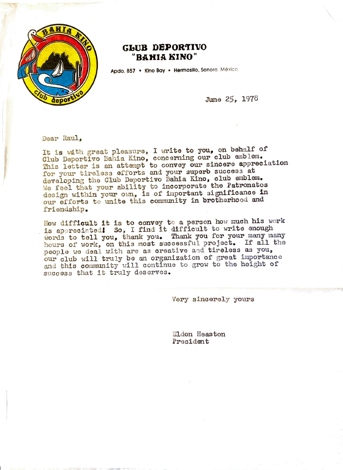

## **GLUD DEPOR'TIVO "BAHIA KINO"**

Apdo. 857 • Kino Bay • Hermosillo, Sonora, México.

June 25, 1978

Doar Raul,

It is with great pleasure, I write to you, on behalf of Club Deportivo Bahia Kino, concerning our club emblem. This letter is an attempt to convey our sincere appreciation for your tireless efforts and your superb success at developing the Club Deportivo Bahia Kino, club emblem. We feel that your ability to incorporate the Patronatos design within your own, is of important significance in our efforts to unite this community in brotherhood and friendship.

How difficult it is to convey to a person how much his work is appreciated! So, I find it difficult to write enough words to tell you, thank you. Thank you for your many many hours of work, on this most successful project. If all the people we deal with are as creative and tireless as you, our club will truly be an organization of great importance and this community will continue to grow to the height of success that it truly deserves.

Very sincerely yours

El don Heaston President